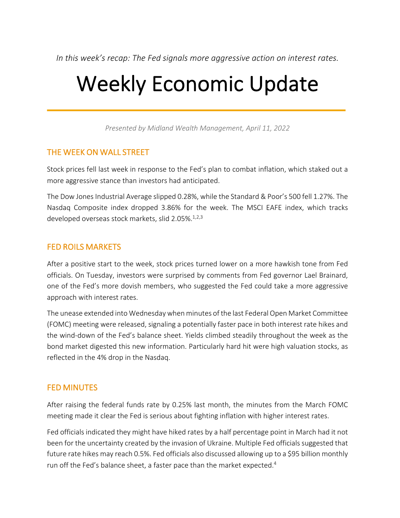*In this week's recap: The Fed signals more aggressive action on interest rates.*

# Weekly Economic Update

*Presented by Midland Wealth Management, April 11, 2022*

## THE WEEK ON WALL STREET

Stock prices fell last week in response to the Fed's plan to combat inflation, which staked out a more aggressive stance than investors had anticipated.

The Dow Jones Industrial Average slipped 0.28%, while the Standard & Poor's 500 fell 1.27%. The Nasdaq Composite index dropped 3.86% for the week. The MSCI EAFE index, which tracks developed overseas stock markets, slid 2.05%. 1,2,3

## FED ROILS MARKETS

After a positive start to the week, stock prices turned lower on a more hawkish tone from Fed officials. On Tuesday, investors were surprised by comments from Fed governor Lael Brainard, one of the Fed's more dovish members, who suggested the Fed could take a more aggressive approach with interest rates.

The unease extended into Wednesday when minutes of the last Federal Open Market Committee (FOMC) meeting were released, signaling a potentially faster pace in both interest rate hikes and the wind-down of the Fed's balance sheet. Yields climbed steadily throughout the week as the bond market digested this new information. Particularly hard hit were high valuation stocks, as reflected in the 4% drop in the Nasdaq.

## FED MINUTES

After raising the federal funds rate by 0.25% last month, the minutes from the March FOMC meeting made it clear the Fed is serious about fighting inflation with higher interest rates.

Fed officials indicated they might have hiked rates by a half percentage point in March had it not been for the uncertainty created by the invasion of Ukraine. Multiple Fed officials suggested that future rate hikes may reach 0.5%. Fed officials also discussed allowing up to a \$95 billion monthly run off the Fed's balance sheet, a faster pace than the market expected.<sup>4</sup>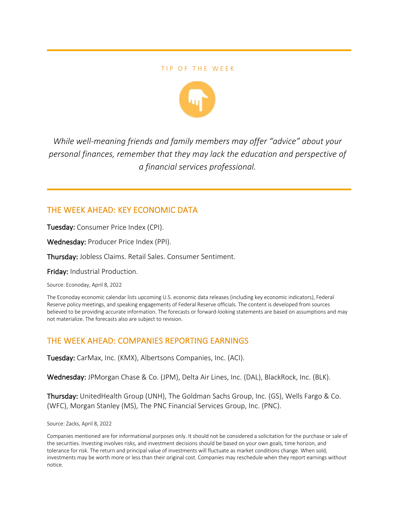#### TIP OF THE WEEK



*While well-meaning friends and family members may offer "advice" about your personal finances, remember that they may lack the education and perspective of a financial services professional.*

## THE WEEK AHEAD: KEY ECONOMIC DATA

Tuesday: Consumer Price Index (CPI).

Wednesday: Producer Price Index (PPI).

Thursday: Jobless Claims. Retail Sales. Consumer Sentiment.

Friday: Industrial Production.

Source: Econoday, April 8, 2022

The Econoday economic calendar lists upcoming U.S. economic data releases (including key economic indicators), Federal Reserve policy meetings, and speaking engagements of Federal Reserve officials. The content is developed from sources believed to be providing accurate information. The forecasts or forward-looking statements are based on assumptions and may not materialize. The forecasts also are subject to revision.

## THE WEEK AHEAD: COMPANIES REPORTING EARNINGS

Tuesday: CarMax, Inc. (KMX), Albertsons Companies, Inc. (ACI).

Wednesday: JPMorgan Chase & Co. (JPM), Delta Air Lines, Inc. (DAL), BlackRock, Inc. (BLK).

Thursday: UnitedHealth Group (UNH), The Goldman Sachs Group, Inc. (GS), Wells Fargo & Co. (WFC), Morgan Stanley (MS), The PNC Financial Services Group, Inc. (PNC).

Source: Zacks, April 8, 2022

Companies mentioned are for informational purposes only. It should not be considered a solicitation for the purchase or sale of the securities. Investing involves risks, and investment decisions should be based on your own goals, time horizon, and tolerance for risk. The return and principal value of investments will fluctuate as market conditions change. When sold, investments may be worth more or less than their original cost. Companies may reschedule when they report earnings without notice.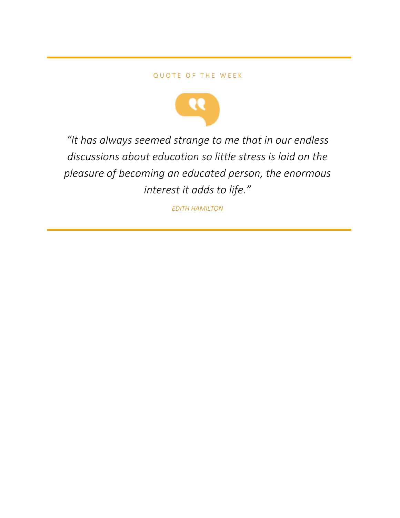#### QUOTE OF THE WEEK



*"It has always seemed strange to me that in our endless discussions about education so little stress is laid on the pleasure of becoming an educated person, the enormous interest it adds to life."*

*EDITH HAMILTON*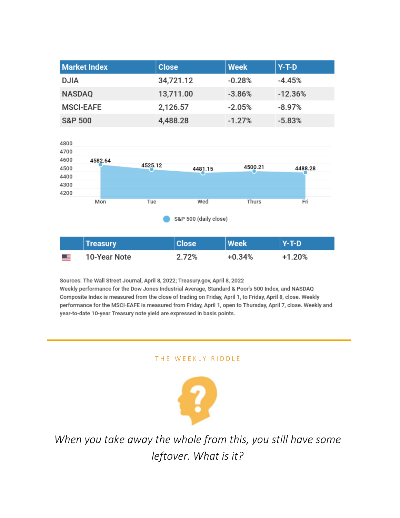| <b>Market Index</b> | <b>Close</b> | <b>Week</b> | $Y-T-D$   |
|---------------------|--------------|-------------|-----------|
| <b>DJIA</b>         | 34,721.12    | $-0.28%$    | $-4.45%$  |
| <b>NASDAQ</b>       | 13,711.00    | $-3.86%$    | $-12.36%$ |
| <b>MSCI-EAFE</b>    | 2,126.57     | $-2.05%$    | $-8.97%$  |
| <b>S&amp;P 500</b>  | 4,488.28     | $-1.27%$    | $-5.83%$  |



|           | <b>Treasury</b> | <b>Close</b> | Week   | $Y-T-D$ |
|-----------|-----------------|--------------|--------|---------|
| <u>ma</u> | 10-Year Note    | 2.72%        | +0.34% | +1.20%  |

Sources: The Wall Street Journal, April 8, 2022; Treasury.gov, April 8, 2022 Weekly performance for the Dow Jones Industrial Average, Standard & Poor's 500 Index, and NASDAQ Composite Index is measured from the close of trading on Friday, April 1, to Friday, April 8, close. Weekly performance for the MSCI-EAFE is measured from Friday, April 1, open to Thursday, April 7, close. Weekly and year-to-date 10-year Treasury note yield are expressed in basis points.

#### THE WEEKLY RIDDLE



*When you take away the whole from this, you still have some leftover. What is it?*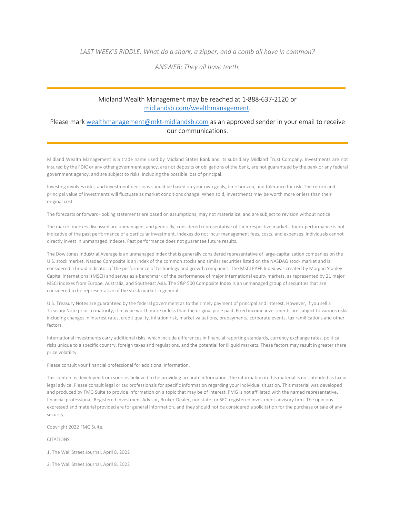*LAST WEEK'S RIDDLE: What do a shark, a zipper, and a comb all have in common?*

*ANSWER: They all have teeth.*

#### Midland Wealth Management may be reached at 1-888-637-2120 or midlandsb.com/wealthmanagement.

#### Please mark wealthmanagement@mkt-midlandsb.com as an approved sender in your email to receive our communications.

Midland Wealth Management is a trade name used by Midland States Bank and its subsidiary Midland Trust Company. Investments are not insured by the FDIC or any other government agency, are not deposits or obligations of the bank, are not guaranteed by the bank or any federal government agency, and are subject to risks, including the possible loss of principal.

Investing involves risks, and investment decisions should be based on your own goals, time horizon, and tolerance for risk. The return and principal value of investments will fluctuate as market conditions change. When sold, investments may be worth more or less than their original cost.

The forecasts or forward-looking statements are based on assumptions, may not materialize, and are subject to revision without notice.

The market indexes discussed are unmanaged, and generally, considered representative of their respective markets. Index performance is not indicative of the past performance of a particular investment. Indexes do not incur management fees, costs, and expenses. Individuals cannot directly invest in unmanaged indexes. Past performance does not guarantee future results.

The Dow Jones Industrial Average is an unmanaged index that is generally considered representative of large-capitalization companies on the U.S. stock market. Nasdaq Composite is an index of the common stocks and similar securities listed on the NASDAQ stock market and is considered a broad indicator of the performance of technology and growth companies. The MSCI EAFE Index was created by Morgan Stanley Capital International (MSCI) and serves as a benchmark of the performance of major international equity markets, as represented by 21 major MSCI indexes from Europe, Australia, and Southeast Asia. The S&P 500 Composite Index is an unmanaged group of securities that are considered to be representative of the stock market in general.

U.S. Treasury Notes are guaranteed by the federal government as to the timely payment of principal and interest. However, if you sell a Treasury Note prior to maturity, it may be worth more or less than the original price paid. Fixed income investments are subject to various risks including changes in interest rates, credit quality, inflation risk, market valuations, prepayments, corporate events, tax ramifications and other factors.

International investments carry additional risks, which include differences in financial reporting standards, currency exchange rates, political risks unique to a specific country, foreign taxes and regulations, and the potential for illiquid markets. These factors may result in greater share price volatility.

Please consult your financial professional for additional information.

This content is developed from sources believed to be providing accurate information. The information in this material is not intended as tax or legal advice. Please consult legal or tax professionals for specific information regarding your individual situation. This material was developed and produced by FMG Suite to provide information on a topic that may be of interest. FMG is not affiliated with the named representative, financial professional, Registered Investment Advisor, Broker-Dealer, nor state- or SEC-registered investment advisory firm. The opinions expressed and material provided are for general information, and they should not be considered a solicitation for the purchase or sale of any security.

Copyright 2022 FMG Suite.

CITATIONS:

1. The Wall Street Journal, April 8, 2022

2. The Wall Street Journal, April 8, 2022